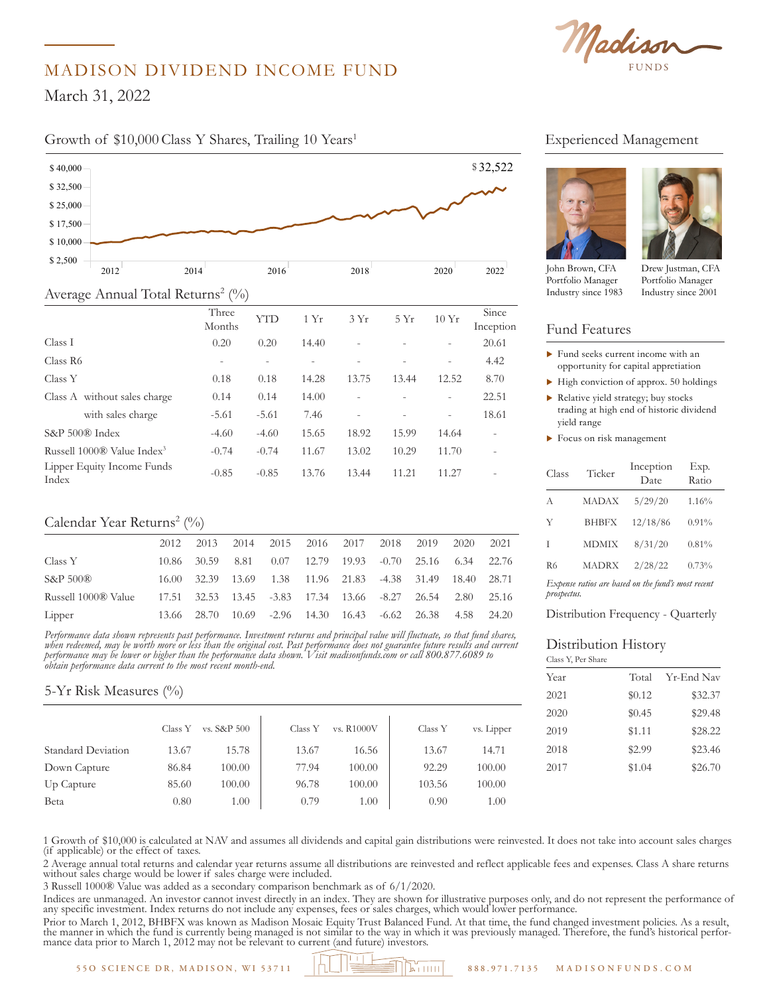

# MADISON DIVIDEND INCOME FUND

March 31, 2022

\$ 32,500

# Growth of \$10,000 Class Y Shares, Trailing 10 Years<sup>1</sup> Experienced Management



Average Annual Total Returns<sup>2</sup> (%) Three Three YTD 1 Yr 3 Yr 5 Yr 10 Yr Since<br>Months Museum 1 Yr 3 Yr 5 Yr Sinception Inception Class I  $0.20$   $0.20$   $14.40$   $20.61$  $\text{Class R6}$   $\text{14.42}$ Class Y 6.18 0.18 14.28 13.75 13.44 12.52 8.70 Class A without sales charge 0.14 0.14 14.00 - - - 22.51 with sales charge  $-5.61$   $-5.61$   $7.46$   $18.61$ S&P 500® Index -4.60 -4.60 -4.60 15.65 18.92 15.99 14.64 -Russell 1000® Value Index<sup>3</sup> -0.74 -0.74 11.67 13.02 10.29 11.70 - $\frac{1}{\sqrt{1-\frac{1}{2}}}\cos\theta$ Class Y Class R6 Class I 2012 2014 2016 2018 2020 2022  $\begin{array}{ccccccc}\n 0.20 & 0.20 & 14.40 & - & - & - & 20.61\n \end{array}$ 

-1.21 11.27 - 1.21 11.27 - 1.85 -0.85 13.76 13.44 11.21 11.27

 $\text{dex}$ 

# Calendar Year Returns<sup>2</sup> (%)

Lipper Equity Income Funds

|                     | 2012  | 2013        |                                     | 2014 2015 2016 2017 2018 |  | 2019                                                                                  | 2020   | 2021  |
|---------------------|-------|-------------|-------------------------------------|--------------------------|--|---------------------------------------------------------------------------------------|--------|-------|
| Class Y             |       |             |                                     |                          |  | 10.86 30.59 8.81 0.07 12.79 19.93 -0.70 25.16 6.34 22.76                              |        |       |
| $S\&P500@$          | 16.00 | 32.39       |                                     |                          |  | 13.69 1.38 11.96 21.83 -4.38 31.49 18.40 28.71                                        |        |       |
| Russell 1000® Value |       |             |                                     |                          |  | 17.51    32.53    13.45    -3.83    17.34    13.66    -8.27    26.54    2.80    25.16 |        |       |
| Lipper              |       | 13.66 28.70 | 10.69 -2.96 14.30 16.43 -6.62 26.38 |                          |  |                                                                                       | - 4.58 | 24.20 |

*Performance data shown represents past performance. Investment returns and principal value will fluctuate, so that fund shares, when redeemed, may be worth more or less than the original cost. Past performance does not guarantee future results and current performance may be lower or higher than the performance data shown. Visit madisonfunds.com or call 800.877.6089 to*  \$ 2,500 *obtain performance data current to the most recent month-end.* erforman, \$ 8,000

#### Time Period: 4/1/2012 to 3/31/2022 5-Yr Risk Measures  $(\%)$

| 5-Yr Risk Measures (%) |         |             |         |            |         |            |  |
|------------------------|---------|-------------|---------|------------|---------|------------|--|
|                        | Class Y | vs. S&P 500 | Class Y | vs. R1000V | Class Y | vs. Lipper |  |
| Standard Deviation     | 13.67   | 15.78       | 13.67   | 16.56      | 13.67   | 14.71      |  |
| Down Capture           | 86.84   | 100.00      | 77.94   | 100.00     | 92.29   | 100.00     |  |
| Up Capture             | 85.60   | 100.00      | 96.78   | 100.00     | 103.56  | 100.00     |  |
| Beta                   | 0.80    | 1.00        | 0.79    | 1.00       | 0.90    | 1.00       |  |

### $\begin{array}{ccc} & & 1 & \textcolor{red}{\overline{1}}\ \textcolor{red}{\overline{1}} & \textcolor{red}{\overline{1}} & \textcolor{red}{\overline{1}} & \textcolor{red}{\overline{1}}\ \textcolor{red}{\overline{1}} & \textcolor{red}{\overline{1}} & \textcolor{red}{\overline{1}} & \textcolor{red}{\overline{1}}\ \textcolor{red}{\overline{1}} & \textcolor{red}{\overline{1}} & \textcolor{red}{\overline{1}} & \textcolor{red}{\overline{1}}\ \textcolor{red}{\overline{1}} & \textcolor{red}{\overline{1}} & \textcolor{red}{\overline{1}} &$ Experienced Management





John Brown, CFA Portfolio Manager Industry since 1983

\$ 5,000

Brown, CFA Drew Justman, CFA Portfolio Manager Industry since 2001

## <sup>1</sup> Fund Features

- $\blacktriangleright$  Fund seeks current income with an opportunity for capital appretiation
- $\blacktriangleright$  High conviction of approx. 50 holdings
- $\blacktriangleright$  Relative yield strategy; buy stocks trading at high end of historic dividend yield range \$ 16,000
- ▶ Focus on risk management

| Class          | Ticker       | Inception<br>Date                                  | Exp.<br>Ratio |
|----------------|--------------|----------------------------------------------------|---------------|
| А              | <b>MADAX</b> | 5/29/20                                            | 1.16%         |
| Y              | <b>BHBFX</b> | 12/18/86                                           | 0.91%         |
| Ι              | <b>MDMIX</b> | 8/31/20                                            | 0.81%         |
| R <sub>6</sub> | <b>MADRX</b> | 2/28/22                                            | 0.73%         |
| prospectus.    |              | Expense ratios are based on the fund's most recent |               |

Distribution Frequency - Quarterly

2012 2014 2016 2018 2020 2022

#### Distribution History  $\overline{10}$

| Year | Total  | Yr-End Nav |
|------|--------|------------|
| 2021 | \$0.12 | \$32.37    |
| 2020 | \$0.45 | \$29.48    |
| 2019 | \$1.11 | \$28.22    |
| 2018 | \$2.99 | \$23.46    |
| 2017 | \$1.04 | \$26.70    |

1 Growth of \$10,000 is calculated at NAV and assumes all dividends and capital gain distributions were reinvested. It does not take into account sales charges (if applicable) or the effect of taxes.

2 Average annual total returns and calendar year returns assume all distributions are reinvested and reflect applicable fees and expenses. Class A share returns without sales charge would be lower if sales charge were included.

3 Russell 1000® Value was added as a secondary comparison benchmark as of 6/1/2020.

Indices are unmanaged. An investor cannot invest directly in an index. They are shown for illustrative purposes only, and do not represent the performance of any specific investment. Index returns do not include any expenses, fees or sales charges, which would lower performance.

Prior to March 1, 2012, BHBFX was known as Madison Mosaic Equity Trust Balanced Fund. At that time, the fund changed investment policies. As a result, the manner in which the fund is currently being managed is not similar to the way in which it was previously managed. Therefore, the fund's historical performance data prior to March 1, 2012 may not be relevant to current

**55O SCIENCE DR, MADISON, WI 53711 888.971.7135 M ADISONFUNDS.COM**